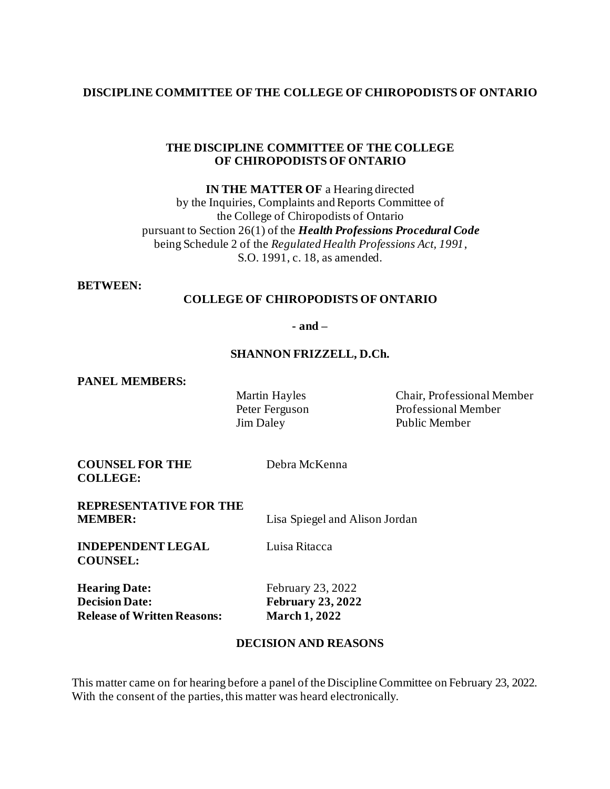### **DISCIPLINE COMMITTEE OF THE COLLEGE OF CHIROPODISTS OF ONTARIO**

#### **THE DISCIPLINE COMMITTEE OF THE COLLEGE OF CHIROPODISTS OF ONTARIO**

**IN THE MATTER OF** a Hearing directed by the Inquiries, Complaints and Reports Committee of the College of Chiropodists of Ontario pursuant to Section 26(1) of the *Health Professions Procedural Code* being Schedule 2 of the *Regulated Health Professions Act, 1991*, S.O. 1991, c. 18, as amended.

#### **BETWEEN:**

### **COLLEGE OF CHIROPODISTS OF ONTARIO**

**- and –**

#### **SHANNON FRIZZELL, D.Ch.**

**PANEL MEMBERS:**

Martin Hayles Chair, Professional Member Peter Ferguson Professional Member Jim Daley Public Member

**COUNSEL FOR THE COLLEGE:**

Debra McKenna

**REPRESENTATIVE FOR THE** 

**MEMBER:** Lisa Spiegel and Alison Jordan

**INDEPENDENT LEGAL COUNSEL:**

Luisa Ritacca

**Hearing Date:** February 23, 2022 **Decision Date: February 23, 2022 Release of Written Reasons: March 1, 2022**

### **DECISION AND REASONS**

This matter came on for hearing before a panel of the Discipline Committee on February 23, 2022. With the consent of the parties, this matter was heard electronically.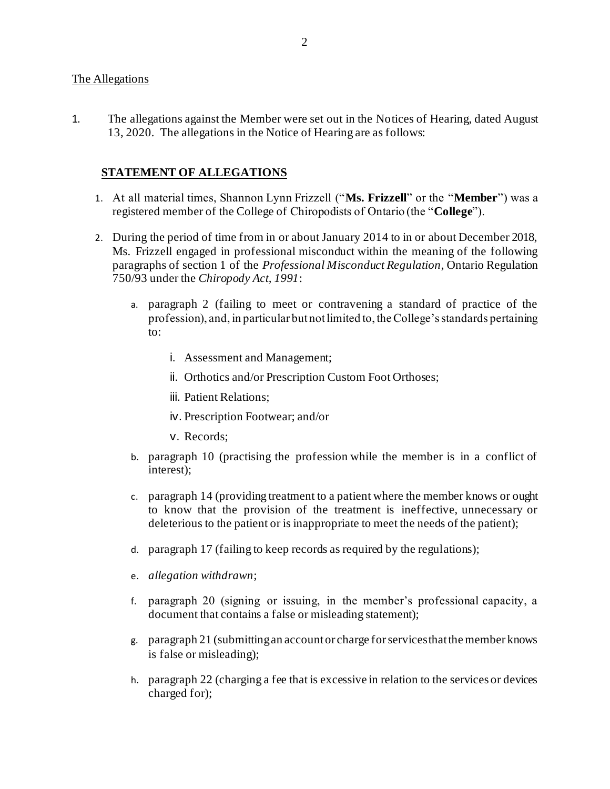#### The Allegations

1. The allegations against the Member were set out in the Notices of Hearing, dated August 13, 2020. The allegations in the Notice of Hearing are as follows:

### **STATEMENT OF ALLEGATIONS**

- 1. At all material times, Shannon Lynn Frizzell ("**Ms. Frizzell**" or the "**Member**") was a registered member of the College of Chiropodists of Ontario (the "**College**").
- 2. During the period of time from in or about January 2014 to in or about December 2018, Ms. Frizzell engaged in professional misconduct within the meaning of the following paragraphs of section 1 of the *Professional Misconduct Regulation*, Ontario Regulation 750/93 under the *Chiropody Act, 1991*:
	- a. paragraph 2 (failing to meet or contravening a standard of practice of the profession), and, in particular but not limited to, the College's standards pertaining to:
		- i. Assessment and Management;
		- ii. Orthotics and/or Prescription Custom Foot Orthoses;
		- iii. Patient Relations;
		- iv. Prescription Footwear; and/or
		- v. Records;
	- b. paragraph 10 (practising the profession while the member is in a conflict of interest);
	- c. paragraph 14 (providing treatment to a patient where the member knows or ought to know that the provision of the treatment is ineffective, unnecessary or deleterious to the patient or is inappropriate to meet the needs of the patient);
	- d. paragraph 17 (failing to keep records as required by the regulations);
	- e. *allegation withdrawn*;
	- f. paragraph 20 (signing or issuing, in the member's professional capacity, a document that contains a false or misleading statement);
	- g. paragraph 21 (submitting an account or charge for services that the member knows is false or misleading);
	- h. paragraph 22 (charging a fee that is excessive in relation to the services or devices charged for);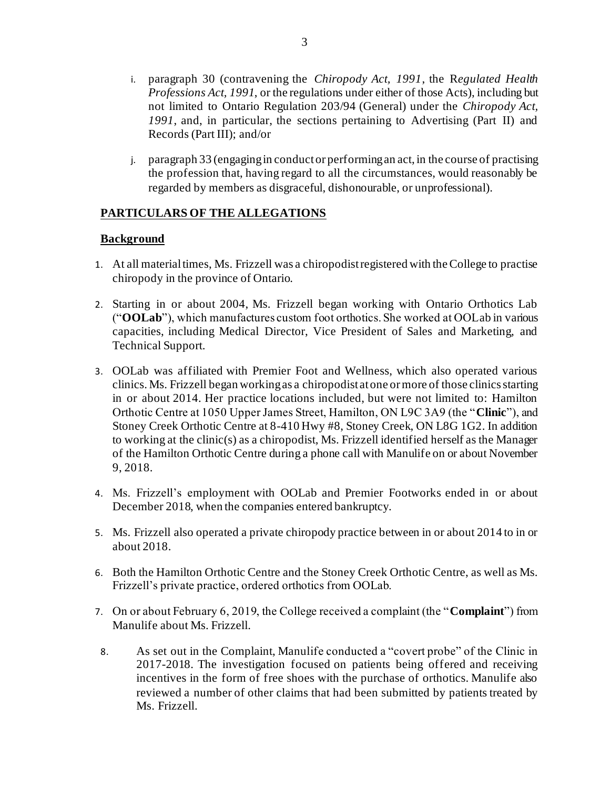- i. paragraph 30 (contravening the *Chiropody Act, 1991*, the R*egulated Health Professions Act, 1991*, or the regulations under either of those Acts), including but not limited to Ontario Regulation 203/94 (General) under the *Chiropody Act, 1991*, and, in particular, the sections pertaining to Advertising (Part II) and Records (Part III); and/or
- j. paragraph 33 (engaging in conduct or performing an act, in the course of practising the profession that, having regard to all the circumstances, would reasonably be regarded by members as disgraceful, dishonourable, or unprofessional).

# **PARTICULARS OF THE ALLEGATIONS**

### **Background**

- 1. At all material times, Ms. Frizzell was a chiropodist registered with the College to practise chiropody in the province of Ontario.
- 2. Starting in or about 2004, Ms. Frizzell began working with Ontario Orthotics Lab ("**OOLab**"), which manufactures custom foot orthotics. She worked at OOLab in various capacities, including Medical Director, Vice President of Sales and Marketing, and Technical Support.
- 3. OOLab was affiliated with Premier Foot and Wellness, which also operated various clinics. Ms. Frizzell began working as a chiropodist at one or more of those clinics starting in or about 2014. Her practice locations included, but were not limited to: Hamilton Orthotic Centre at 1050 Upper James Street, Hamilton, ON L9C 3A9 (the "**Clinic**"), and Stoney Creek Orthotic Centre at 8-410 Hwy #8, Stoney Creek, ON L8G 1G2. In addition to working at the clinic(s) as a chiropodist, Ms. Frizzell identified herself as the Manager of the Hamilton Orthotic Centre during a phone call with Manulife on or about November 9, 2018.
- 4. Ms. Frizzell's employment with OOLab and Premier Footworks ended in or about December 2018, when the companies entered bankruptcy.
- 5. Ms. Frizzell also operated a private chiropody practice between in or about 2014 to in or about 2018.
- 6. Both the Hamilton Orthotic Centre and the Stoney Creek Orthotic Centre, as well as Ms. Frizzell's private practice, ordered orthotics from OOLab.
- 7. On or about February 6, 2019, the College received a complaint (the "**Complaint**") from Manulife about Ms. Frizzell.
- 8. As set out in the Complaint, Manulife conducted a "covert probe" of the Clinic in 2017-2018. The investigation focused on patients being offered and receiving incentives in the form of free shoes with the purchase of orthotics. Manulife also reviewed a number of other claims that had been submitted by patients treated by Ms. Frizzell.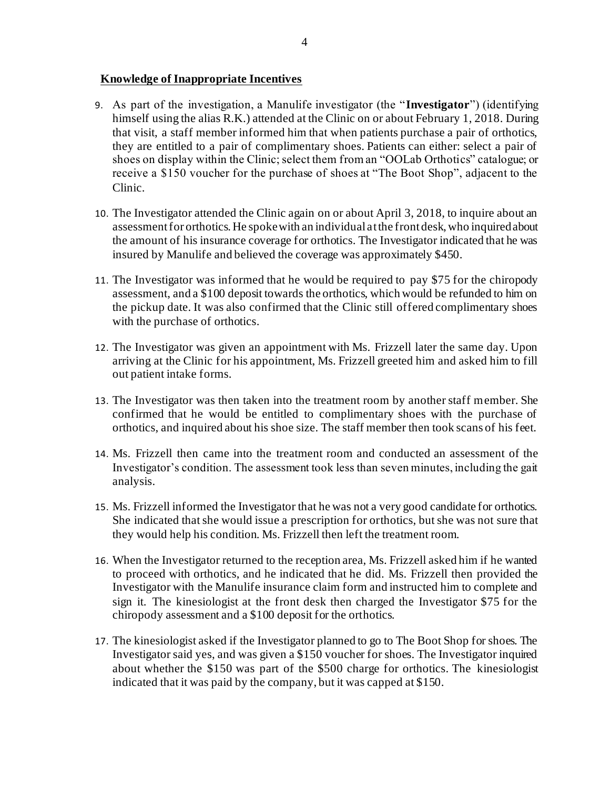### **Knowledge of Inappropriate Incentives**

- 9. As part of the investigation, a Manulife investigator (the "**Investigator**") (identifying himself using the alias R.K.) attended at the Clinic on or about February 1, 2018. During that visit, a staff member informed him that when patients purchase a pair of orthotics, they are entitled to a pair of complimentary shoes. Patients can either: select a pair of shoes on display within the Clinic; select them from an "OOLab Orthotics" catalogue; or receive a \$150 voucher for the purchase of shoes at "The Boot Shop", adjacent to the Clinic.
- 10. The Investigator attended the Clinic again on or about April 3, 2018, to inquire about an assessment for orthotics. He spoke with an individual at the front desk, who inquired about the amount of his insurance coverage for orthotics. The Investigator indicated that he was insured by Manulife and believed the coverage was approximately \$450.
- 11. The Investigator was informed that he would be required to pay \$75 for the chiropody assessment, and a \$100 deposit towards the orthotics, which would be refunded to him on the pickup date. It was also confirmed that the Clinic still offered complimentary shoes with the purchase of orthotics.
- 12. The Investigator was given an appointment with Ms. Frizzell later the same day. Upon arriving at the Clinic for his appointment, Ms. Frizzell greeted him and asked him to fill out patient intake forms.
- 13. The Investigator was then taken into the treatment room by another staff member. She confirmed that he would be entitled to complimentary shoes with the purchase of orthotics, and inquired about his shoe size. The staff member then took scans of his feet.
- 14. Ms. Frizzell then came into the treatment room and conducted an assessment of the Investigator's condition. The assessment took less than seven minutes, including the gait analysis.
- 15. Ms. Frizzell informed the Investigator that he was not a very good candidate for orthotics. She indicated that she would issue a prescription for orthotics, but she was not sure that they would help his condition. Ms. Frizzell then left the treatment room.
- 16. When the Investigator returned to the reception area, Ms. Frizzell asked him if he wanted to proceed with orthotics, and he indicated that he did. Ms. Frizzell then provided the Investigator with the Manulife insurance claim form and instructed him to complete and sign it. The kinesiologist at the front desk then charged the Investigator \$75 for the chiropody assessment and a \$100 deposit for the orthotics.
- 17. The kinesiologist asked if the Investigator planned to go to The Boot Shop for shoes. The Investigator said yes, and was given a \$150 voucher for shoes. The Investigator inquired about whether the \$150 was part of the \$500 charge for orthotics. The kinesiologist indicated that it was paid by the company, but it was capped at \$150.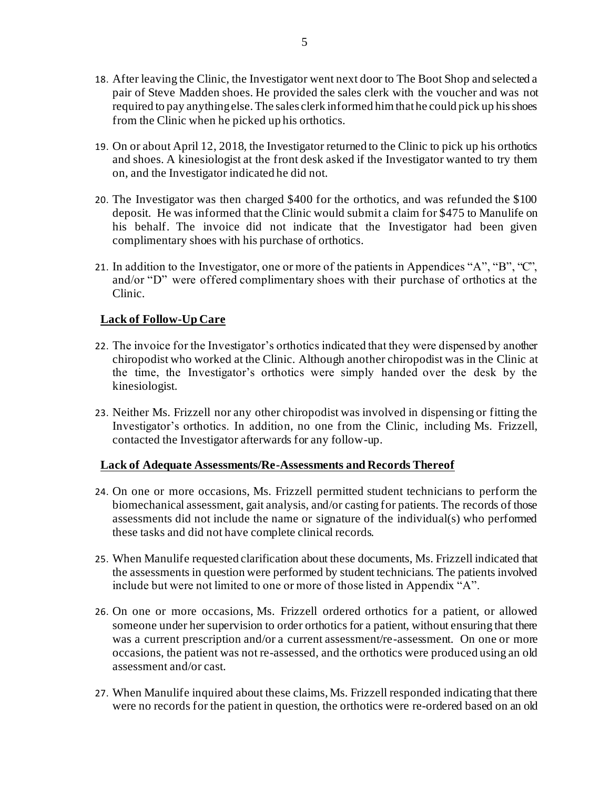- 18. After leaving the Clinic, the Investigator went next door to The Boot Shop and selected a pair of Steve Madden shoes. He provided the sales clerk with the voucher and was not required to pay anything else. The sales clerk informed him that he could pick up his shoes from the Clinic when he picked up his orthotics.
- 19. On or about April 12, 2018, the Investigator returned to the Clinic to pick up his orthotics and shoes. A kinesiologist at the front desk asked if the Investigator wanted to try them on, and the Investigator indicated he did not.
- 20. The Investigator was then charged \$400 for the orthotics, and was refunded the \$100 deposit. He was informed that the Clinic would submit a claim for \$475 to Manulife on his behalf. The invoice did not indicate that the Investigator had been given complimentary shoes with his purchase of orthotics.
- 21. In addition to the Investigator, one or more of the patients in Appendices "A", "B", "C", and/or "D" were offered complimentary shoes with their purchase of orthotics at the Clinic.

### **Lack of Follow-Up Care**

- 22. The invoice for the Investigator's orthotics indicated that they were dispensed by another chiropodist who worked at the Clinic. Although another chiropodist was in the Clinic at the time, the Investigator's orthotics were simply handed over the desk by the kinesiologist.
- 23. Neither Ms. Frizzell nor any other chiropodist was involved in dispensing or fitting the Investigator's orthotics. In addition, no one from the Clinic, including Ms. Frizzell, contacted the Investigator afterwards for any follow-up.

### **Lack of Adequate Assessments/Re-Assessments and Records Thereof**

- 24. On one or more occasions, Ms. Frizzell permitted student technicians to perform the biomechanical assessment, gait analysis, and/or casting for patients. The records of those assessments did not include the name or signature of the individual(s) who performed these tasks and did not have complete clinical records.
- 25. When Manulife requested clarification about these documents, Ms. Frizzell indicated that the assessments in question were performed by student technicians. The patients involved include but were not limited to one or more of those listed in Appendix "A".
- 26. On one or more occasions, Ms. Frizzell ordered orthotics for a patient, or allowed someone under her supervision to order orthotics for a patient, without ensuring that there was a current prescription and/or a current assessment/re-assessment. On one or more occasions, the patient was not re-assessed, and the orthotics were produced using an old assessment and/or cast.
- 27. When Manulife inquired about these claims, Ms. Frizzell responded indicating that there were no records for the patient in question, the orthotics were re-ordered based on an old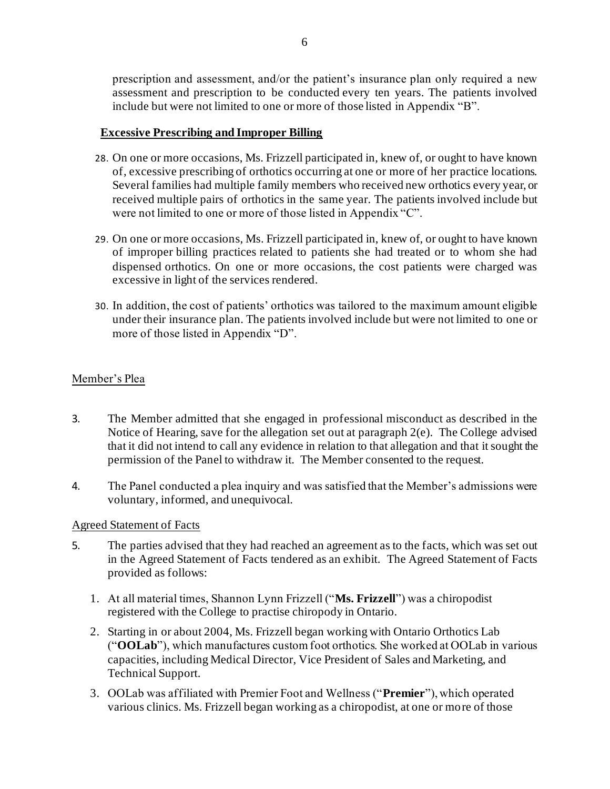prescription and assessment, and/or the patient's insurance plan only required a new assessment and prescription to be conducted every ten years. The patients involved include but were not limited to one or more of those listed in Appendix "B".

#### **Excessive Prescribing and Improper Billing**

- 28. On one or more occasions, Ms. Frizzell participated in, knew of, or ought to have known of, excessive prescribing of orthotics occurring at one or more of her practice locations. Several families had multiple family members who received new orthotics every year, or received multiple pairs of orthotics in the same year. The patients involved include but were not limited to one or more of those listed in Appendix "C".
- 29. On one or more occasions, Ms. Frizzell participated in, knew of, or ought to have known of improper billing practices related to patients she had treated or to whom she had dispensed orthotics. On one or more occasions, the cost patients were charged was excessive in light of the services rendered.
- 30. In addition, the cost of patients' orthotics was tailored to the maximum amount eligible under their insurance plan. The patients involved include but were not limited to one or more of those listed in Appendix "D".

### Member's Plea

- 3. The Member admitted that she engaged in professional misconduct as described in the Notice of Hearing, save for the allegation set out at paragraph 2(e). The College advised that it did not intend to call any evidence in relation to that allegation and that it sought the permission of the Panel to withdraw it. The Member consented to the request.
- 4. The Panel conducted a plea inquiry and was satisfied that the Member's admissions were voluntary, informed, and unequivocal.

### Agreed Statement of Facts

- 5. The parties advised that they had reached an agreement as to the facts, which was set out in the Agreed Statement of Facts tendered as an exhibit. The Agreed Statement of Facts provided as follows:
	- 1. At all material times, Shannon Lynn Frizzell ("**Ms. Frizzell**") was a chiropodist registered with the College to practise chiropody in Ontario.
	- 2. Starting in or about 2004, Ms. Frizzell began working with Ontario Orthotics Lab ("**OOLab**"), which manufactures custom foot orthotics. She worked at OOLab in various capacities, including Medical Director, Vice President of Sales and Marketing, and Technical Support.
	- 3. OOLab was affiliated with Premier Foot and Wellness ("**Premier**"), which operated various clinics. Ms. Frizzell began working as a chiropodist, at one or more of those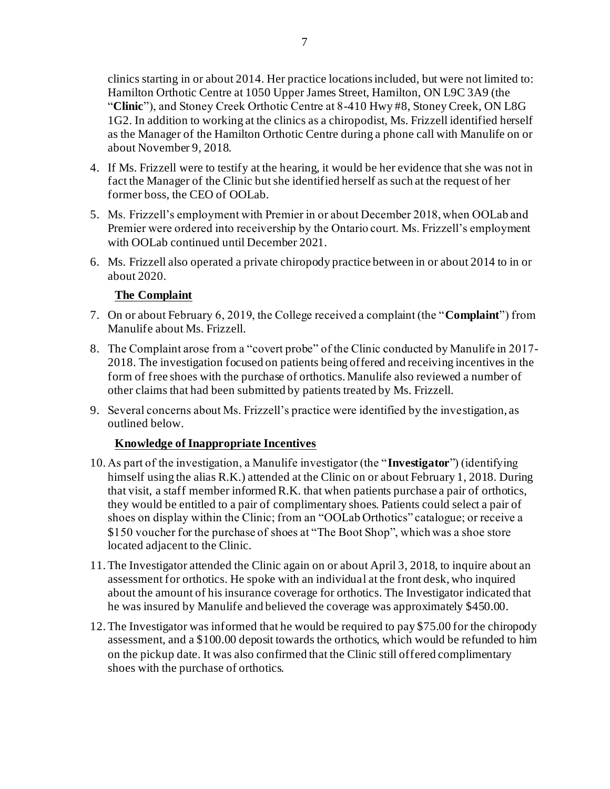clinics starting in or about 2014. Her practice locations included, but were not limited to: Hamilton Orthotic Centre at 1050 Upper James Street, Hamilton, ON L9C 3A9 (the "**Clinic**"), and Stoney Creek Orthotic Centre at 8-410 Hwy #8, Stoney Creek, ON L8G 1G2. In addition to working at the clinics as a chiropodist, Ms. Frizzell identified herself as the Manager of the Hamilton Orthotic Centre during a phone call with Manulife on or about November 9, 2018.

- 4. If Ms. Frizzell were to testify at the hearing, it would be her evidence that she was not in fact the Manager of the Clinic but she identified herself as such at the request of her former boss, the CEO of OOLab.
- 5. Ms. Frizzell's employment with Premier in or about December 2018, when OOLab and Premier were ordered into receivership by the Ontario court. Ms. Frizzell's employment with OOLab continued until December 2021.
- 6. Ms. Frizzell also operated a private chiropody practice between in or about 2014 to in or about 2020.

# **The Complaint**

- 7. On or about February 6, 2019, the College received a complaint (the "**Complaint**") from Manulife about Ms. Frizzell.
- 8. The Complaint arose from a "covert probe" of the Clinic conducted by Manulife in 2017- 2018. The investigation focused on patients being offered and receiving incentives in the form of free shoes with the purchase of orthotics. Manulife also reviewed a number of other claims that had been submitted by patients treated by Ms. Frizzell.
- 9. Several concerns about Ms. Frizzell's practice were identified by the investigation, as outlined below.

# **Knowledge of Inappropriate Incentives**

- 10. As part of the investigation, a Manulife investigator (the "**Investigator**") (identifying himself using the alias R.K.) attended at the Clinic on or about February 1, 2018. During that visit, a staff member informed R.K. that when patients purchase a pair of orthotics, they would be entitled to a pair of complimentary shoes. Patients could select a pair of shoes on display within the Clinic; from an "OOLab Orthotics" catalogue; or receive a \$150 voucher for the purchase of shoes at "The Boot Shop", which was a shoe store located adjacent to the Clinic.
- 11.The Investigator attended the Clinic again on or about April 3, 2018, to inquire about an assessment for orthotics. He spoke with an individual at the front desk, who inquired about the amount of his insurance coverage for orthotics. The Investigator indicated that he was insured by Manulife and believed the coverage was approximately \$450.00.
- 12.The Investigator was informed that he would be required to pay \$75.00 for the chiropody assessment, and a \$100.00 deposit towards the orthotics, which would be refunded to him on the pickup date. It was also confirmed that the Clinic still offered complimentary shoes with the purchase of orthotics.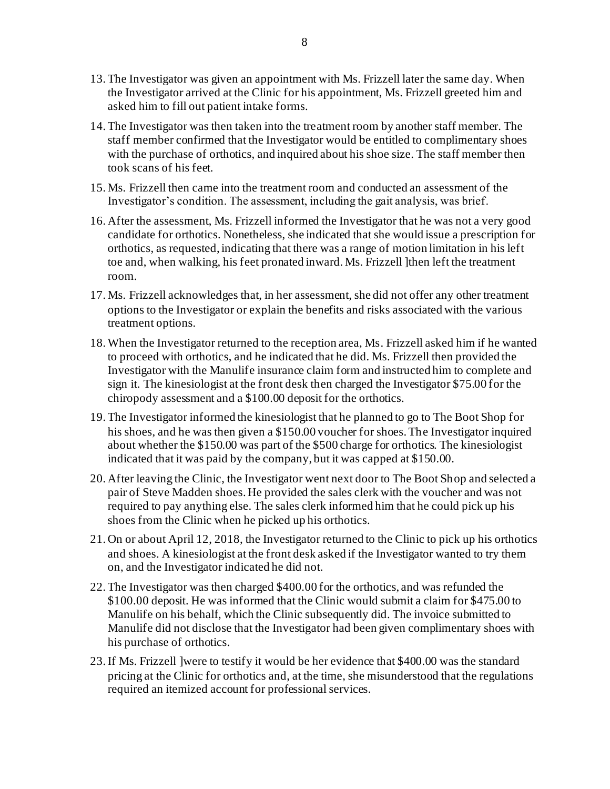- 13.The Investigator was given an appointment with Ms. Frizzell later the same day. When the Investigator arrived at the Clinic for his appointment, Ms. Frizzell greeted him and asked him to fill out patient intake forms.
- 14.The Investigator was then taken into the treatment room by another staff member. The staff member confirmed that the Investigator would be entitled to complimentary shoes with the purchase of orthotics, and inquired about his shoe size. The staff member then took scans of his feet.
- 15. Ms. Frizzell then came into the treatment room and conducted an assessment of the Investigator's condition. The assessment, including the gait analysis, was brief.
- 16. After the assessment, Ms. Frizzell informed the Investigator that he was not a very good candidate for orthotics. Nonetheless, she indicated that she would issue a prescription for orthotics, as requested, indicating that there was a range of motion limitation in his left toe and, when walking, his feet pronated inward. Ms. Frizzell ]then left the treatment room.
- 17. Ms. Frizzell acknowledges that, in her assessment, she did not offer any other treatment options to the Investigator or explain the benefits and risks associated with the various treatment options.
- 18.When the Investigator returned to the reception area, Ms. Frizzell asked him if he wanted to proceed with orthotics, and he indicated that he did. Ms. Frizzell then provided the Investigator with the Manulife insurance claim form and instructed him to complete and sign it. The kinesiologist at the front desk then charged the Investigator \$75.00 for the chiropody assessment and a \$100.00 deposit for the orthotics.
- 19.The Investigator informed the kinesiologist that he planned to go to The Boot Shop for his shoes, and he was then given a \$150.00 voucher for shoes. The Investigator inquired about whether the \$150.00 was part of the \$500 charge for orthotics. The kinesiologist indicated that it was paid by the company, but it was capped at \$150.00.
- 20. After leaving the Clinic, the Investigator went next door to The Boot Shop and selected a pair of Steve Madden shoes. He provided the sales clerk with the voucher and was not required to pay anything else. The sales clerk informed him that he could pick up his shoes from the Clinic when he picked up his orthotics.
- 21. On or about April 12, 2018, the Investigator returned to the Clinic to pick up his orthotics and shoes. A kinesiologist at the front desk asked if the Investigator wanted to try them on, and the Investigator indicated he did not.
- 22.The Investigator was then charged \$400.00 for the orthotics, and was refunded the \$100.00 deposit. He was informed that the Clinic would submit a claim for \$475.00 to Manulife on his behalf, which the Clinic subsequently did. The invoice submitted to Manulife did not disclose that the Investigator had been given complimentary shoes with his purchase of orthotics.
- 23.If Ms. Frizzell ]were to testify it would be her evidence that \$400.00 was the standard pricing at the Clinic for orthotics and, at the time, she misunderstood that the regulations required an itemized account for professional services.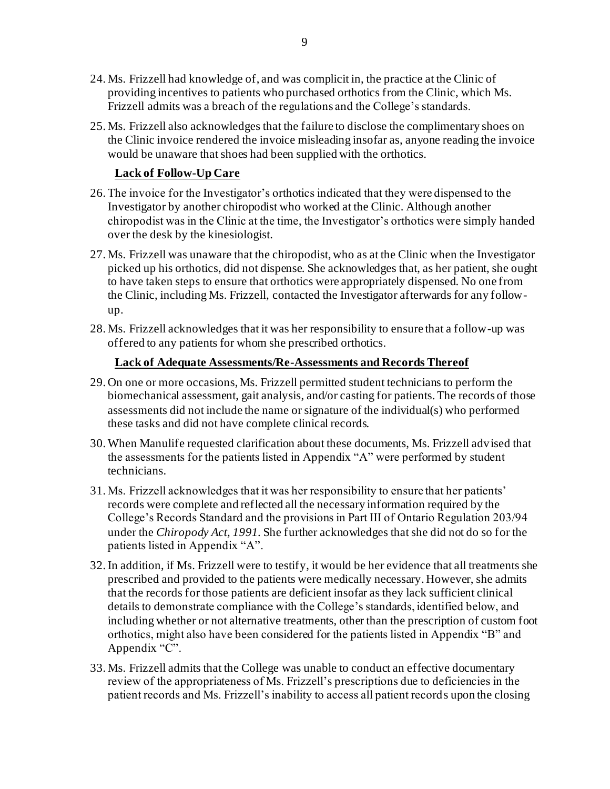- 24. Ms. Frizzell had knowledge of, and was complicit in, the practice at the Clinic of providing incentives to patients who purchased orthotics from the Clinic, which Ms. Frizzell admits was a breach of the regulations and the College's standards.
- 25. Ms. Frizzell also acknowledges that the failure to disclose the complimentary shoes on the Clinic invoice rendered the invoice misleading insofar as, anyone reading the invoice would be unaware that shoes had been supplied with the orthotics.

### **Lack of Follow-Up Care**

- 26.The invoice for the Investigator's orthotics indicated that they were dispensed to the Investigator by another chiropodist who worked at the Clinic. Although another chiropodist was in the Clinic at the time, the Investigator's orthotics were simply handed over the desk by the kinesiologist.
- 27. Ms. Frizzell was unaware that the chiropodist, who as at the Clinic when the Investigator picked up his orthotics, did not dispense. She acknowledges that, as her patient, she ought to have taken steps to ensure that orthotics were appropriately dispensed. No one from the Clinic, including Ms. Frizzell, contacted the Investigator afterwards for any followup.
- 28. Ms. Frizzell acknowledges that it was her responsibility to ensure that a follow-up was offered to any patients for whom she prescribed orthotics.

### **Lack of Adequate Assessments/Re-Assessments and Records Thereof**

- 29. On one or more occasions, Ms. Frizzell permitted student technicians to perform the biomechanical assessment, gait analysis, and/or casting for patients. The records of those assessments did not include the name or signature of the individual(s) who performed these tasks and did not have complete clinical records.
- 30.When Manulife requested clarification about these documents, Ms. Frizzell advised that the assessments for the patients listed in Appendix "A" were performed by student technicians.
- 31. Ms. Frizzell acknowledges that it was her responsibility to ensure that her patients' records were complete and reflected all the necessary information required by the College's Records Standard and the provisions in Part III of Ontario Regulation 203/94 under the *Chiropody Act, 1991*. She further acknowledges that she did not do so for the patients listed in Appendix "A".
- 32.In addition, if Ms. Frizzell were to testify, it would be her evidence that all treatments she prescribed and provided to the patients were medically necessary. However, she admits that the records for those patients are deficient insofar as they lack sufficient clinical details to demonstrate compliance with the College's standards, identified below, and including whether or not alternative treatments, other than the prescription of custom foot orthotics, might also have been considered for the patients listed in Appendix "B" and Appendix "C".
- 33. Ms. Frizzell admits that the College was unable to conduct an effective documentary review of the appropriateness of Ms. Frizzell's prescriptions due to deficiencies in the patient records and Ms. Frizzell's inability to access all patient records upon the closing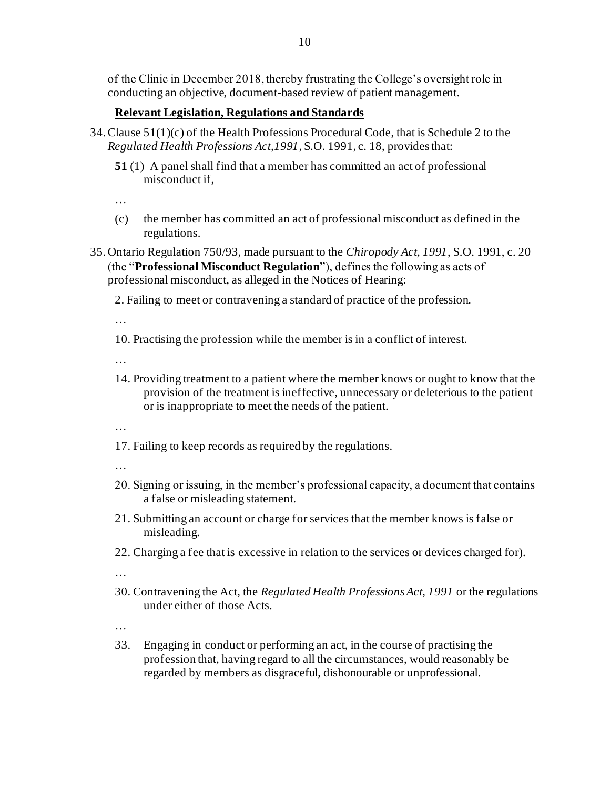of the Clinic in December 2018, thereby frustrating the College's oversight role in conducting an objective, document-based review of patient management.

### **Relevant Legislation, Regulations and Standards**

- 34.Clause 51(1)(c) of the Health Professions Procedural Code, that is Schedule 2 to the *Regulated Health Professions Act,1991*, S.O. 1991, c. 18, provides that:
	- **51** (1) A panel shall find that a member has committed an act of professional misconduct if,

…

- (c) the member has committed an act of professional misconduct as defined in the regulations.
- 35. Ontario Regulation 750/93, made pursuant to the *Chiropody Act, 1991*, S.O. 1991, c. 20 (the "**Professional Misconduct Regulation**"), defines the following as acts of professional misconduct, as alleged in the Notices of Hearing:

2. Failing to meet or contravening a standard of practice of the profession.

…

10. Practising the profession while the member is in a conflict of interest.

…

14. Providing treatment to a patient where the member knows or ought to know that the provision of the treatment is ineffective, unnecessary or deleterious to the patient or is inappropriate to meet the needs of the patient.

…

17. Failing to keep records as required by the regulations.

…

- 20. Signing or issuing, in the member's professional capacity, a document that contains a false or misleading statement.
- 21. Submitting an account or charge for services that the member knows is false or misleading.
- 22. Charging a fee that is excessive in relation to the services or devices charged for).

…

30. Contravening the Act, the *Regulated Health Professions Act, 1991* or the regulations under either of those Acts.

…

33. Engaging in conduct or performing an act, in the course of practising the profession that, having regard to all the circumstances, would reasonably be regarded by members as disgraceful, dishonourable or unprofessional.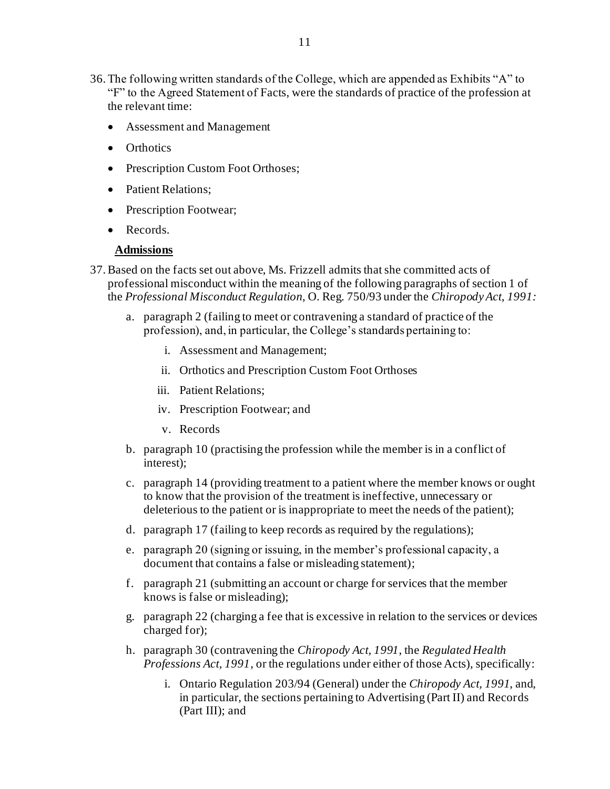- 36.The following written standards of the College, which are appended as Exhibits "A" to "F" to the Agreed Statement of Facts, were the standards of practice of the profession at the relevant time:
	- Assessment and Management
	- Orthotics
	- Prescription Custom Foot Orthoses;
	- Patient Relations:
	- Prescription Footwear;
	- Records.

### **Admissions**

- 37.Based on the facts set out above, Ms. Frizzell admits that she committed acts of professional misconduct within the meaning of the following paragraphs of section 1 of the *Professional Misconduct Regulation*, O. Reg. 750/93 under the *Chiropody Act, 1991:*
	- a. paragraph 2 (failing to meet or contravening a standard of practice of the profession), and, in particular, the College's standards pertaining to:
		- i. Assessment and Management;
		- ii. Orthotics and Prescription Custom Foot Orthoses
		- iii. Patient Relations;
		- iv. Prescription Footwear; and
		- v. Records
	- b. paragraph 10 (practising the profession while the member is in a conflict of interest);
	- c. paragraph 14 (providing treatment to a patient where the member knows or ought to know that the provision of the treatment is ineffective, unnecessary or deleterious to the patient or is inappropriate to meet the needs of the patient);
	- d. paragraph 17 (failing to keep records as required by the regulations);
	- e. paragraph 20 (signing or issuing, in the member's professional capacity, a document that contains a false or misleading statement);
	- f. paragraph 21 (submitting an account or charge for services that the member knows is false or misleading);
	- g. paragraph 22 (charging a fee that is excessive in relation to the services or devices charged for);
	- h. paragraph 30 (contravening the *Chiropody Act, 1991*, the *Regulated Health Professions Act, 1991*, or the regulations under either of those Acts), specifically:
		- i. Ontario Regulation 203/94 (General) under the *Chiropody Act, 1991*, and, in particular, the sections pertaining to Advertising (Part II) and Records (Part III); and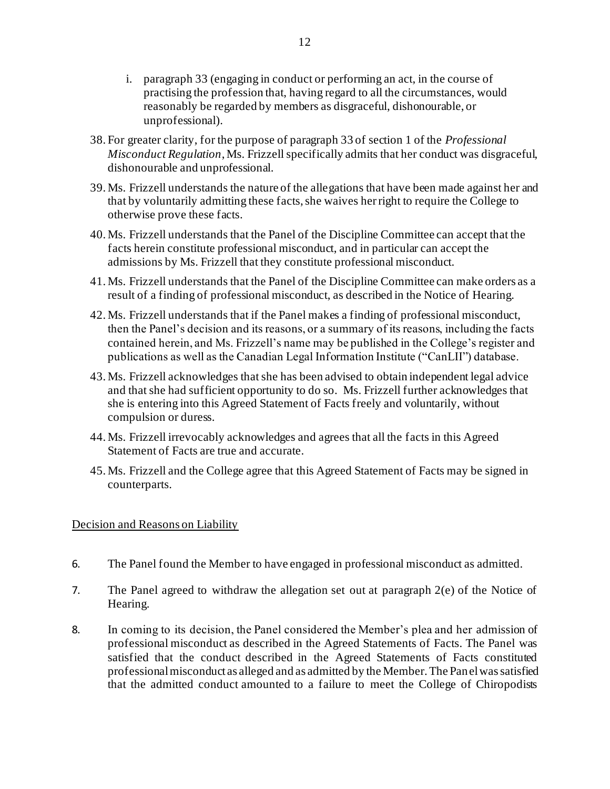- i. paragraph 33 (engaging in conduct or performing an act, in the course of practising the profession that, having regard to all the circumstances, would reasonably be regarded by members as disgraceful, dishonourable, or unprofessional).
- 38. For greater clarity, for the purpose of paragraph 33 of section 1 of the *Professional Misconduct Regulation*, Ms. Frizzell specifically admits that her conduct was disgraceful, dishonourable and unprofessional.
- 39. Ms. Frizzell understands the nature of the allegations that have been made against her and that by voluntarily admitting these facts, she waives her right to require the College to otherwise prove these facts.
- 40. Ms. Frizzell understands that the Panel of the Discipline Committee can accept that the facts herein constitute professional misconduct, and in particular can accept the admissions by Ms. Frizzell that they constitute professional misconduct.
- 41. Ms. Frizzell understands that the Panel of the Discipline Committee can make orders as a result of a finding of professional misconduct, as described in the Notice of Hearing.
- 42. Ms. Frizzell understands that if the Panel makes a finding of professional misconduct, then the Panel's decision and its reasons, or a summary of its reasons, including the facts contained herein, and Ms. Frizzell's name may be published in the College's register and publications as well as the Canadian Legal Information Institute ("CanLII") database.
- 43. Ms. Frizzell acknowledges that she has been advised to obtain independent legal advice and that she had sufficient opportunity to do so. Ms. Frizzell further acknowledges that she is entering into this Agreed Statement of Facts freely and voluntarily, without compulsion or duress.
- 44. Ms. Frizzell irrevocably acknowledges and agrees that all the facts in this Agreed Statement of Facts are true and accurate.
- 45. Ms. Frizzell and the College agree that this Agreed Statement of Facts may be signed in counterparts.

### Decision and Reasons on Liability

- 6. The Panel found the Member to have engaged in professional misconduct as admitted.
- 7. The Panel agreed to withdraw the allegation set out at paragraph 2(e) of the Notice of Hearing.
- 8. In coming to its decision, the Panel considered the Member's plea and her admission of professional misconduct as described in the Agreed Statements of Facts. The Panel was satisfied that the conduct described in the Agreed Statements of Facts constituted professional misconduct as alleged and as admitted by the Member. The Panel was satisfied that the admitted conduct amounted to a failure to meet the College of Chiropodists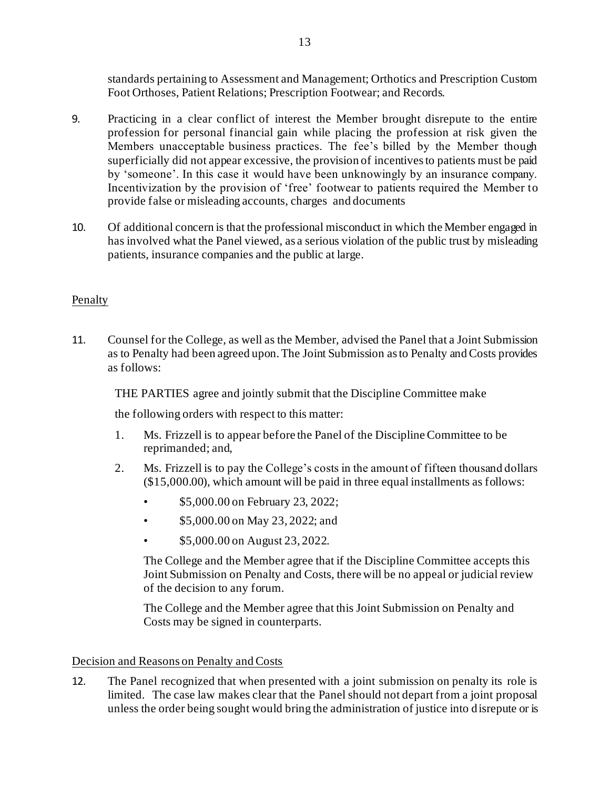standards pertaining to Assessment and Management; Orthotics and Prescription Custom Foot Orthoses, Patient Relations; Prescription Footwear; and Records.

- 9. Practicing in a clear conflict of interest the Member brought disrepute to the entire profession for personal financial gain while placing the profession at risk given the Members unacceptable business practices. The fee's billed by the Member though superficially did not appear excessive, the provision of incentives to patients must be paid by 'someone'. In this case it would have been unknowingly by an insurance company. Incentivization by the provision of 'free' footwear to patients required the Member to provide false or misleading accounts, charges and documents
- 10. Of additional concern is that the professional misconduct in which the Member engaged in has involved what the Panel viewed, as a serious violation of the public trust by misleading patients, insurance companies and the public at large.

# **Penalty**

11. Counsel for the College, as well as the Member, advised the Panel that a Joint Submission as to Penalty had been agreed upon. The Joint Submission as to Penalty and Costs provides as follows:

THE PARTIES agree and jointly submit that the Discipline Committee make

the following orders with respect to this matter:

- 1. Ms. Frizzell is to appear before the Panel of the Discipline Committee to be reprimanded; and,
- 2. Ms. Frizzell is to pay the College's costs in the amount of fifteen thousand dollars (\$15,000.00), which amount will be paid in three equal installments as follows:
	- \$5,000.00 on February 23, 2022;
	- \$5,000.00 on May 23, 2022; and
	- \$5,000.00 on August 23, 2022.

The College and the Member agree that if the Discipline Committee accepts this Joint Submission on Penalty and Costs, there will be no appeal or judicial review of the decision to any forum.

The College and the Member agree that this Joint Submission on Penalty and Costs may be signed in counterparts.

### Decision and Reasons on Penalty and Costs

12. The Panel recognized that when presented with a joint submission on penalty its role is limited. The case law makes clear that the Panel should not depart from a joint proposal unless the order being sought would bring the administration of justice into disrepute or is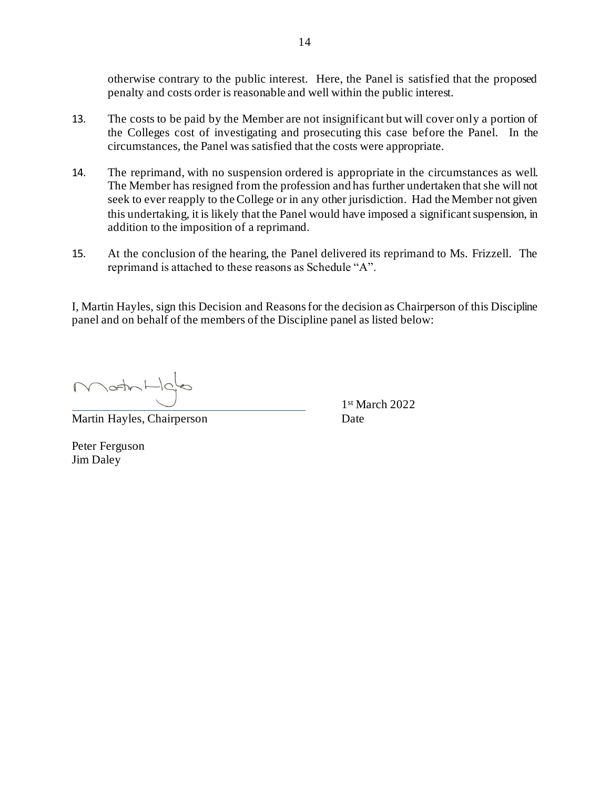otherwise contrary to the public interest. Here, the Panel is satisfied that the proposed penalty and costs order is reasonable and well within the public interest.

- 13. The costs to be paid by the Member are not insignificant but will cover only a portion of the Colleges cost of investigating and prosecuting this case before the Panel. In the circumstances, the Panel was satisfied that the costs were appropriate.
- 14. The reprimand, with no suspension ordered is appropriate in the circumstances as well. The Member has resigned from the profession and has further undertaken that she will not seek to ever reapply to the College or in any other jurisdiction. Had the Member not given this undertaking, it is likely that the Panel would have imposed a significant suspension, in addition to the imposition of a reprimand.
- 15. At the conclusion of the hearing, the Panel delivered its reprimand to Ms. Frizzell. The reprimand is attached to these reasons as Schedule "A".

I, Martin Hayles, sign this Decision and Reasons for the decision as Chairperson of this Discipline panel and on behalf of the members of the Discipline panel as listed below:

MathHold

Martin Hayles, Chairperson Date

1 st March 2022

Peter Ferguson Jim Daley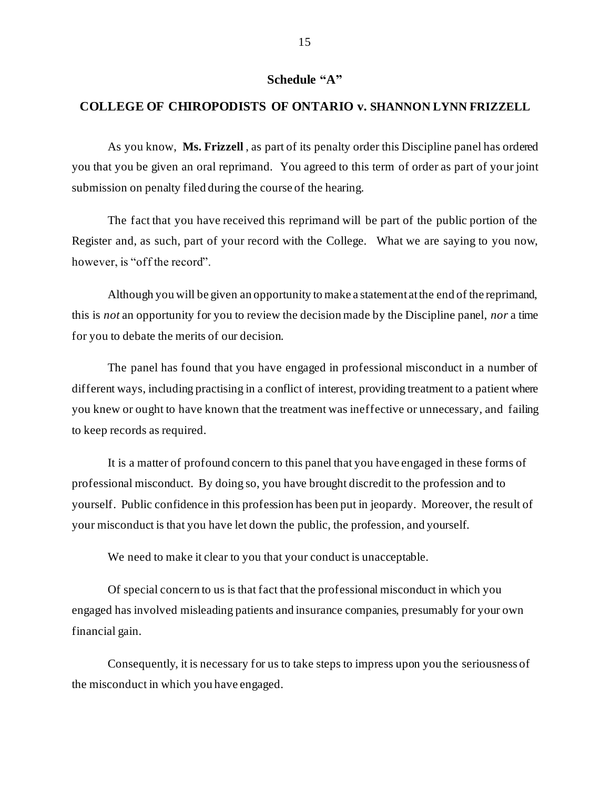#### **Schedule "A"**

#### **COLLEGE OF CHIROPODISTS OF ONTARIO v. SHANNON LYNN FRIZZELL**

As you know, **Ms. Frizzell** , as part of its penalty order this Discipline panel has ordered you that you be given an oral reprimand. You agreed to this term of order as part of your joint submission on penalty filed during the course of the hearing.

The fact that you have received this reprimand will be part of the public portion of the Register and, as such, part of your record with the College. What we are saying to you now, however, is "off the record".

Although you will be given an opportunity to make a statement at the end of the reprimand, this is *not* an opportunity for you to review the decision made by the Discipline panel, *nor* a time for you to debate the merits of our decision.

The panel has found that you have engaged in professional misconduct in a number of different ways, including practising in a conflict of interest, providing treatment to a patient where you knew or ought to have known that the treatment was ineffective or unnecessary, and failing to keep records as required.

It is a matter of profound concern to this panel that you have engaged in these forms of professional misconduct. By doing so, you have brought discredit to the profession and to yourself. Public confidence in this profession has been put in jeopardy. Moreover, the result of your misconduct is that you have let down the public, the profession, and yourself.

We need to make it clear to you that your conduct is unacceptable.

Of special concern to us is that fact that the professional misconduct in which you engaged has involved misleading patients and insurance companies, presumably for your own financial gain.

Consequently, it is necessary for us to take steps to impress upon you the seriousness of the misconduct in which you have engaged.